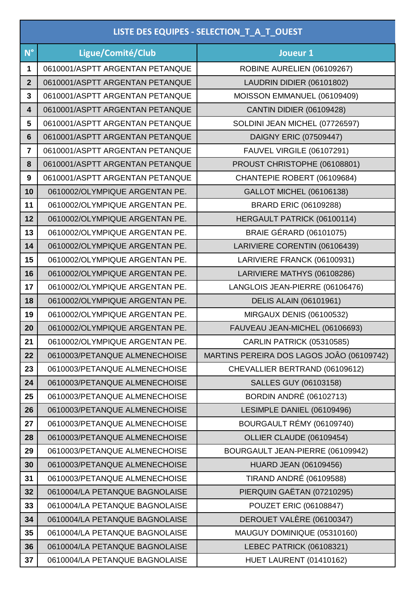| LISTE DES EQUIPES - SELECTION_T_A_T_OUEST |                                 |                                           |  |
|-------------------------------------------|---------------------------------|-------------------------------------------|--|
| $N^{\circ}$                               | Ligue/Comité/Club               | Joueur 1                                  |  |
| 1                                         | 0610001/ASPTT ARGENTAN PETANQUE | ROBINE AURELIEN (06109267)                |  |
| $\overline{2}$                            | 0610001/ASPTT ARGENTAN PETANQUE | LAUDRIN DIDIER (06101802)                 |  |
| 3                                         | 0610001/ASPTT ARGENTAN PETANQUE | MOISSON EMMANUEL (06109409)               |  |
| $\overline{\mathbf{4}}$                   | 0610001/ASPTT ARGENTAN PETANQUE | <b>CANTIN DIDIER (06109428)</b>           |  |
| 5                                         | 0610001/ASPTT ARGENTAN PETANQUE | SOLDINI JEAN MICHEL (07726597)            |  |
| $6\phantom{1}$                            | 0610001/ASPTT ARGENTAN PETANQUE | DAIGNY ERIC (07509447)                    |  |
| $\overline{\mathbf{r}}$                   | 0610001/ASPTT ARGENTAN PETANQUE | <b>FAUVEL VIRGILE (06107291)</b>          |  |
| 8                                         | 0610001/ASPTT ARGENTAN PETANQUE | PROUST CHRISTOPHE (06108801)              |  |
| 9                                         | 0610001/ASPTT ARGENTAN PETANQUE | CHANTEPIE ROBERT (06109684)               |  |
| 10                                        | 0610002/OLYMPIQUE ARGENTAN PE.  | <b>GALLOT MICHEL (06106138)</b>           |  |
| 11                                        | 0610002/OLYMPIQUE ARGENTAN PE.  | <b>BRARD ERIC (06109288)</b>              |  |
| 12                                        | 0610002/OLYMPIQUE ARGENTAN PE.  | HERGAULT PATRICK (06100114)               |  |
| 13                                        | 0610002/OLYMPIQUE ARGENTAN PE.  | <b>BRAIE GÉRARD (06101075)</b>            |  |
| 14                                        | 0610002/OLYMPIQUE ARGENTAN PE.  | LARIVIERE CORENTIN (06106439)             |  |
| 15                                        | 0610002/OLYMPIQUE ARGENTAN PE.  | LARIVIERE FRANCK (06100931)               |  |
| 16                                        | 0610002/OLYMPIQUE ARGENTAN PE.  | LARIVIERE MATHYS (06108286)               |  |
| 17                                        | 0610002/OLYMPIQUE ARGENTAN PE.  | LANGLOIS JEAN-PIERRE (06106476)           |  |
| 18                                        | 0610002/OLYMPIQUE ARGENTAN PE.  | <b>DELIS ALAIN (06101961)</b>             |  |
| 19                                        | 0610002/OLYMPIQUE ARGENTAN PE.  | <b>MIRGAUX DENIS (06100532)</b>           |  |
| 20                                        | 0610002/OLYMPIQUE ARGENTAN PE.  | FAUVEAU JEAN-MICHEL (06106693)            |  |
| 21                                        | 0610002/OLYMPIQUE ARGENTAN PE.  | <b>CARLIN PATRICK (05310585)</b>          |  |
| 22                                        | 0610003/PETANQUE ALMENECHOISE   | MARTINS PEREIRA DOS LAGOS JOÂO (06109742) |  |
| 23                                        | 0610003/PETANQUE ALMENECHOISE   | CHEVALLIER BERTRAND (06109612)            |  |
| 24                                        | 0610003/PETANQUE ALMENECHOISE   | SALLES GUY (06103158)                     |  |
| 25                                        | 0610003/PETANQUE ALMENECHOISE   | <b>BORDIN ANDRÉ (06102713)</b>            |  |
| 26                                        | 0610003/PETANQUE ALMENECHOISE   | LESIMPLE DANIEL (06109496)                |  |
| 27                                        | 0610003/PETANQUE ALMENECHOISE   | BOURGAULT RÉMY (06109740)                 |  |
| 28                                        | 0610003/PETANQUE ALMENECHOISE   | OLLIER CLAUDE (06109454)                  |  |
| 29                                        | 0610003/PETANQUE ALMENECHOISE   | BOURGAULT JEAN-PIERRE (06109942)          |  |
| 30                                        | 0610003/PETANQUE ALMENECHOISE   | <b>HUARD JEAN (06109456)</b>              |  |
| 31                                        | 0610003/PETANQUE ALMENECHOISE   | TIRAND ANDRÉ (06109588)                   |  |
| 32                                        | 0610004/LA PETANQUE BAGNOLAISE  | PIERQUIN GAËTAN (07210295)                |  |
| 33                                        | 0610004/LA PETANQUE BAGNOLAISE  | <b>POUZET ERIC (06108847)</b>             |  |
| 34                                        | 0610004/LA PETANQUE BAGNOLAISE  | DEROUET VALÈRE (06100347)                 |  |
| 35                                        | 0610004/LA PETANQUE BAGNOLAISE  | MAUGUY DOMINIQUE (05310160)               |  |
| 36                                        | 0610004/LA PETANQUE BAGNOLAISE  | LEBEC PATRICK (06108321)                  |  |
| 37                                        | 0610004/LA PETANQUE BAGNOLAISE  | <b>HUET LAURENT (01410162)</b>            |  |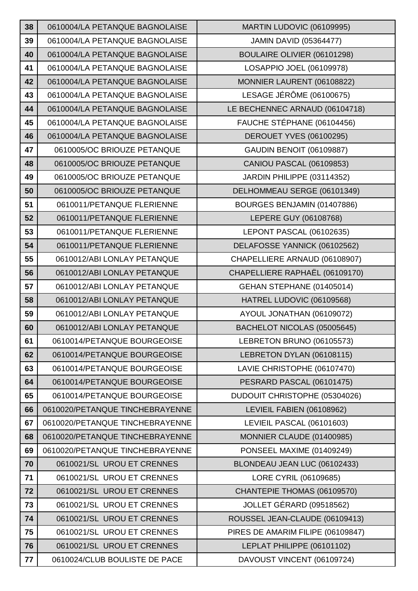| 38 | 0610004/LA PETANQUE BAGNOLAISE  | MARTIN LUDOVIC (06109995)         |
|----|---------------------------------|-----------------------------------|
| 39 | 0610004/LA PETANQUE BAGNOLAISE  | <b>JAMIN DAVID (05364477)</b>     |
| 40 | 0610004/LA PETANQUE BAGNOLAISE  | BOULAIRE OLIVIER (06101298)       |
| 41 | 0610004/LA PETANQUE BAGNOLAISE  | LOSAPPIO JOEL (06109978)          |
| 42 | 0610004/LA PETANQUE BAGNOLAISE  | MONNIER LAURENT (06108822)        |
| 43 | 0610004/LA PETANQUE BAGNOLAISE  | LESAGE JÉRÔME (06100675)          |
| 44 | 0610004/LA PETANQUE BAGNOLAISE  | LE BECHENNEC ARNAUD (06104718)    |
| 45 | 0610004/LA PETANQUE BAGNOLAISE  | FAUCHE STÉPHANE (06104456)        |
| 46 | 0610004/LA PETANQUE BAGNOLAISE  | <b>DEROUET YVES (06100295)</b>    |
| 47 | 0610005/OC BRIOUZE PETANQUE     | <b>GAUDIN BENOIT (06109887)</b>   |
| 48 | 0610005/OC BRIOUZE PETANQUE     | <b>CANIOU PASCAL (06109853)</b>   |
| 49 | 0610005/OC BRIOUZE PETANQUE     | JARDIN PHILIPPE (03114352)        |
| 50 | 0610005/OC BRIOUZE PETANQUE     | DELHOMMEAU SERGE (06101349)       |
| 51 | 0610011/PETANQUE FLERIENNE      | BOURGES BENJAMIN (01407886)       |
| 52 | 0610011/PETANQUE FLERIENNE      | LEPERE GUY (06108768)             |
| 53 | 0610011/PETANQUE FLERIENNE      | LEPONT PASCAL (06102635)          |
| 54 | 0610011/PETANQUE FLERIENNE      | DELAFOSSE YANNICK (06102562)      |
| 55 | 0610012/ABI LONLAY PETANQUE     | CHAPELLIERE ARNAUD (06108907)     |
| 56 | 0610012/ABI LONLAY PETANQUE     | CHAPELLIERE RAPHAËL (06109170)    |
| 57 | 0610012/ABI LONLAY PETANQUE     | GEHAN STEPHANE (01405014)         |
| 58 | 0610012/ABI LONLAY PETANQUE     | HATREL LUDOVIC (06109568)         |
| 59 | 0610012/ABI LONLAY PETANQUE     | AYOUL JONATHAN (06109072)         |
| 60 | 0610012/ABI LONLAY PETANQUE     | BACHELOT NICOLAS (05005645)       |
| 61 | 0610014/PETANQUE BOURGEOISE     | LEBRETON BRUNO (06105573)         |
| 62 | 0610014/PETANQUE BOURGEOISE     | LEBRETON DYLAN (06108115)         |
| 63 | 0610014/PETANQUE BOURGEOISE     | LAVIE CHRISTOPHE (06107470)       |
| 64 | 0610014/PETANQUE BOURGEOISE     | PESRARD PASCAL (06101475)         |
| 65 | 0610014/PETANQUE BOURGEOISE     | DUDOUIT CHRISTOPHE (05304026)     |
| 66 | 0610020/PETANQUE TINCHEBRAYENNE | LEVIEIL FABIEN (06108962)         |
| 67 | 0610020/PETANQUE TINCHEBRAYENNE | LEVIEIL PASCAL (06101603)         |
| 68 | 0610020/PETANQUE TINCHEBRAYENNE | MONNIER CLAUDE (01400985)         |
| 69 | 0610020/PETANQUE TINCHEBRAYENNE | PONSEEL MAXIME (01409249)         |
| 70 | 0610021/SL UROU ET CRENNES      | BLONDEAU JEAN LUC (06102433)      |
| 71 | 0610021/SL UROU ET CRENNES      | LORE CYRIL (06109685)             |
| 72 | 0610021/SL UROU ET CRENNES      | CHANTEPIE THOMAS (06109570)       |
| 73 | 0610021/SL UROU ET CRENNES      | JOLLET GÉRARD (09518562)          |
| 74 | 0610021/SL UROU ET CRENNES      | ROUSSEL JEAN-CLAUDE (06109413)    |
| 75 | 0610021/SL UROU ET CRENNES      | PIRES DE AMARIM FILIPE (06109847) |
| 76 | 0610021/SL UROU ET CRENNES      | LEPLAT PHILIPPE (06101102)        |
| 77 | 0610024/CLUB BOULISTE DE PACE   | DAVOUST VINCENT (06109724)        |